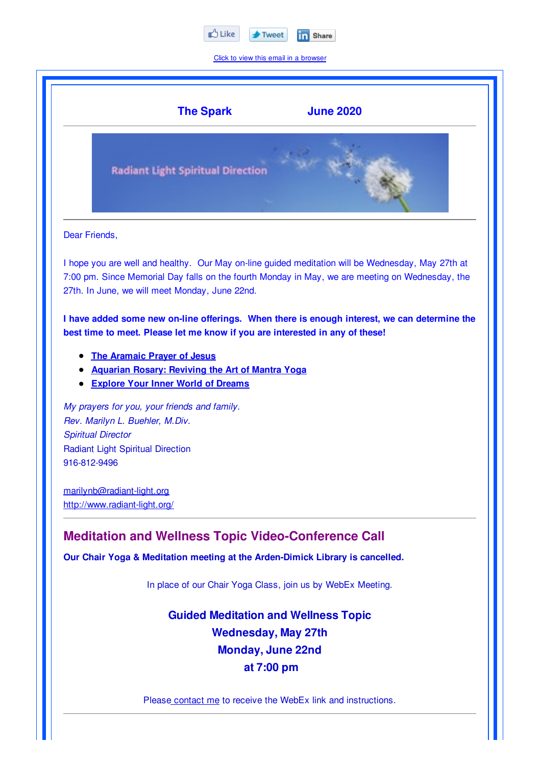

Click to view this email in a browser



Please contact me to receive the WebEx link and instructions.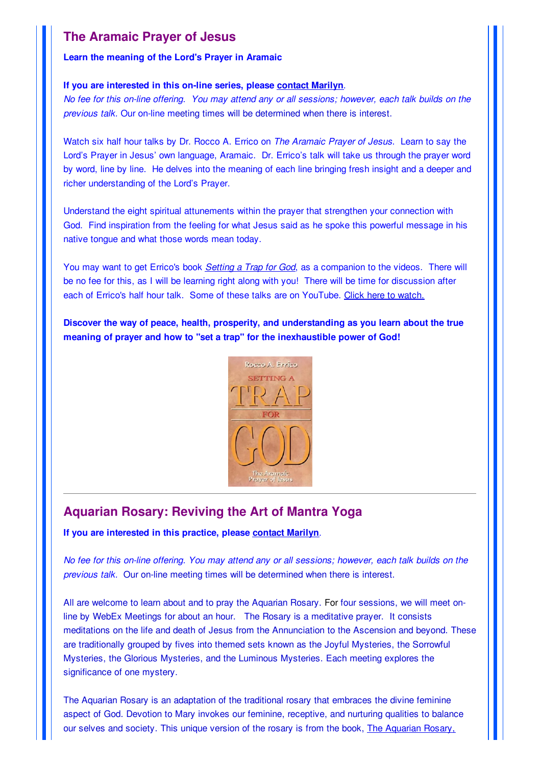# **The Aramaic Prayer of Jesus**

### **Learn the meaning of the Lord's Prayer in Aramaic**

### **If you are interested in this on-line series, please contact Marilyn**.

No fee for this on-line offering. You may attend any or all sessions; however, each talk builds on the *previous talk.* Our on-line meeting times will be determined when there is interest.

Watch six half hour talks by Dr. Rocco A. Errico on *The Aramaic Prayer of Jesus*. Learn to say the Lord's Prayer in Jesus' own language, Aramaic. Dr. Errico's talk will take us through the prayer word by word, line by line. He delves into the meaning of each line bringing fresh insight and a deeper and richer understanding of the Lord's Prayer.

Understand the eight spiritual attunements within the prayer that strengthen your connection with God. Find inspiration from the feeling for what Jesus said as he spoke this powerful message in his native tongue and what those words mean today.

You may want to get Errico's book *Setting a Trap for God*, as a companion to the videos. There will be no fee for this, as I will be learning right along with you! There will be time for discussion after each of Errico's half hour talk. Some of these talks are on YouTube. Click here to watch.

**Discover the way of peace, health, prosperity, and understanding as you learn about the true meaning of prayer and how to "set a trap" for the inexhaustible power of God!**



# **Aquarian Rosary: Reviving the Art of Mantra Yoga**

**If you are interested in this practice, please contact Marilyn**.

No fee for this on-line offering. You may attend any or all sessions; however, each talk builds on the *previous talk.* Our on-line meeting times will be determined when there is interest.

All are welcome to learn about and to pray the Aquarian Rosary. For four sessions, we will meet online by WebEx Meetings for about an hour. The Rosary is a meditative prayer. It consists meditations on the life and death of Jesus from the Annunciation to the Ascension and beyond. These are traditionally grouped by fives into themed sets known as the Joyful Mysteries, the Sorrowful Mysteries, the Glorious Mysteries, and the Luminous Mysteries. Each meeting explores the significance of one mystery.

The Aquarian Rosary is an adaptation of the traditional rosary that embraces the divine feminine aspect of God. Devotion to Mary invokes our feminine, receptive, and nurturing qualities to balance our selves and society. This unique version of the rosary is from the book, The Aquarian Rosary,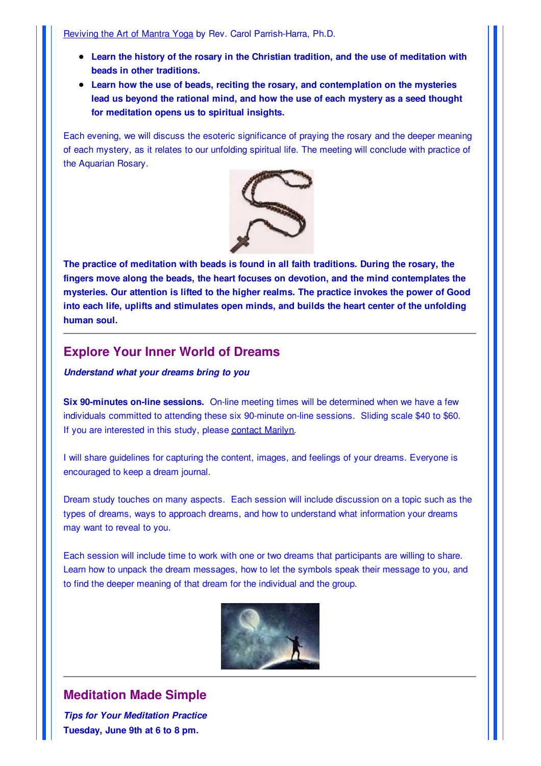Reviving the Art of Mantra Yoga by Rev. Carol Parrish-Harra, Ph.D.

- **Learn the history of the rosary in the Christian tradition, and the use of meditation with beads in other traditions.**
- **Learn how the use of beads, reciting the rosary, and contemplation on the mysteries lead us beyond the rational mind, and how the use of each mystery as a seed thought for meditation opens us to spiritual insights.**

Each evening, we will discuss the esoteric significance of praying the rosary and the deeper meaning of each mystery, as it relates to our unfolding spiritual life. The meeting will conclude with practice of the Aquarian Rosary.



**The practice of meditation with beads is found in all faith traditions. During the rosary, the fingers move along the beads, the heart focuses on devotion, and the mind contemplates the mysteries. Our attention is lifted to the higher realms. The practice invokes the power of Good into each life, uplifts and stimulates open minds, and builds the heart center of the unfolding human soul.**

### **Explore Your Inner World of Dreams**

*Understand what your dreams bring to you*

**Six 90-minutes on-line sessions.** On-line meeting times will be determined when we have a few individuals committed to attending these six 90-minute on-line sessions. Sliding scale \$40 to \$60. If you are interested in this study, please contact Marilyn.

I will share guidelines for capturing the content, images, and feelings of your dreams. Everyone is encouraged to keep a dream journal.

Dream study touches on many aspects. Each session will include discussion on a topic such as the types of dreams, ways to approach dreams, and how to understand what information your dreams may want to reveal to you.

Each session will include time to work with one or two dreams that participants are willing to share. Learn how to unpack the dream messages, how to let the symbols speak their message to you, and to find the deeper meaning of that dream for the individual and the group.



# **Meditation Made Simple**

*Tips for Your Meditation Practice* **Tuesday, June 9th at 6 to 8 pm.**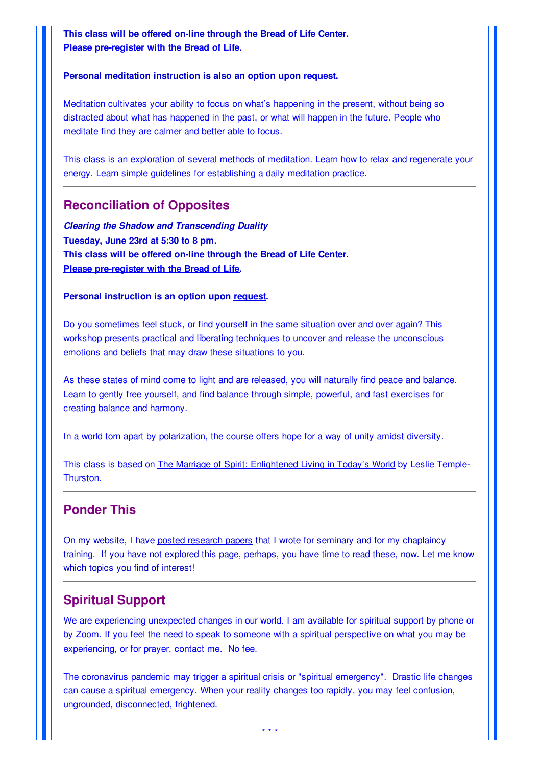**This class will be offered on-line through the Bread of Life Center. Please pre-register with the Bread of Life.**

#### **Personal meditation instruction is also an option upon request.**

Meditation cultivates your ability to focus on what's happening in the present, without being so distracted about what has happened in the past, or what will happen in the future. People who meditate find they are calmer and better able to focus.

This class is an exploration of several methods of meditation. Learn how to relax and regenerate your energy. Learn simple guidelines for establishing a daily meditation practice.

### **Reconciliation of Opposites**

*Clearing the Shadow and Transcending Duality* **Tuesday, June 23rd at 5:30 to 8 pm. This class will be offered on-line through the Bread of Life Center. Please pre-register with the Bread of Life.**

#### **Personal instruction is an option upon request.**

Do you sometimes feel stuck, or find yourself in the same situation over and over again? This workshop presents practical and liberating techniques to uncover and release the unconscious emotions and beliefs that may draw these situations to you.

As these states of mind come to light and are released, you will naturally find peace and balance. Learn to gently free yourself, and find balance through simple, powerful, and fast exercises for creating balance and harmony.

In a world torn apart by polarization, the course offers hope for a way of unity amidst diversity.

This class is based on The Marriage of Spirit: Enlightened Living in Today's World by Leslie Temple-Thurston.

### **Ponder This**

On my website, I have posted research papers that I wrote for seminary and for my chaplaincy training. If you have not explored this page, perhaps, you have time to read these, now. Let me know which topics you find of interest!

### **Spiritual Support**

We are experiencing unexpected changes in our world. I am available for spiritual support by phone or by Zoom. If you feel the need to speak to someone with a spiritual perspective on what you may be experiencing, or for prayer, contact me. No fee.

The coronavirus pandemic may trigger a spiritual crisis or "spiritual emergency". Drastic life changes can cause a spiritual emergency. When your reality changes too rapidly, you may feel confusion, ungrounded, disconnected, frightened.